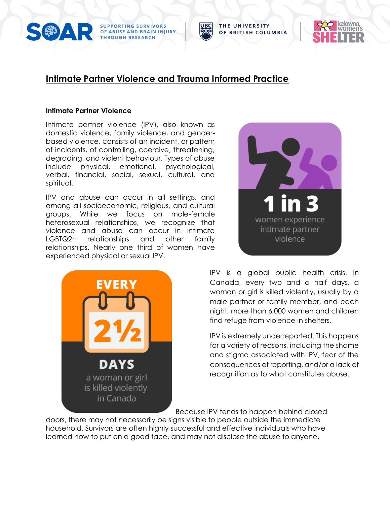



#### **Intimate Partner Violence**

Intimate partner violence (IPV), also known as domestic violence, family violence, and genderbased violence, consists of an incident, or pattern of incidents, of controlling, coercive, threatening, degrading, and violent behaviour. Types of abuse include physical, emotional, psychological, verbal, financial, social, sexual, cultural, and spiritual.

IPV and abuse can occur in all settings, and among all socioeconomic, religious, and cultural groups. While we focus on male-female heterosexual relationships, we recognize that violence and abuse can occur in intimate LGBTQ2+ relationships and other family relationships. Nearly one third of women have experienced physical or sexual IPV.





THE UNIVERSITY

OF BRITISH COLUMBIA

IPV is a global public health crisis. In Canada, every two and a half days, a woman or girl is killed violently, usually by a male partner or family member, and each night, more than 6,000 women and children find refuge from violence in shelters.

IPV is extremely underreported. This happens for a variety of reasons, including the shame and stigma associated with IPV, fear of the consequences of reporting, and/or a lack of recognition as to what constitutes abuse.

Because IPV tends to happen behind closed

doors, there may not necessarily be signs visible to people outside the immediate household. Survivors are often highly successful and effective individuals who have learned how to put on a good face, and may not disclose the abuse to anyone.

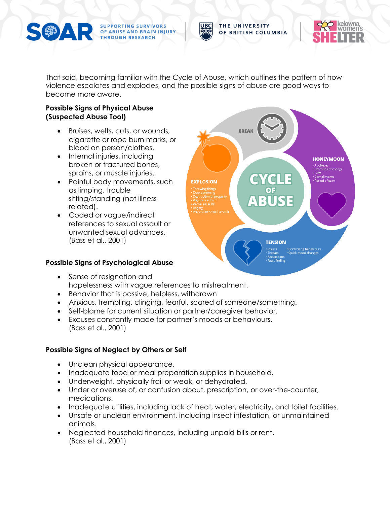

SUPPORTING SURVIVORS<br>Of ABUSE AND BRAIN INJURY **THROUGH RESEARCH** 

THE UNIVERSITY OF BRITISH COLUMBIA



That said, becoming familiar with the Cycle of Abuse, which outlines the pattern of how violence escalates and explodes, and the possible signs of abuse are good ways to become more aware.

### **Possible Signs of Physical Abuse (Suspected Abuse Tool)**

- Bruises, welts, cuts, or wounds, cigarette or rope burn marks, or blood on person/clothes.
- Internal injuries, including broken or fractured bones, sprains, or muscle injuries.
- Painful body movements, such as limping, trouble sitting/standing (not illness related).
- Coded or vague/indirect references to sexual assault or unwanted sexual advances. (Bass et al., 2001)

## **Possible Signs of Psychological Abuse**



- Sense of resignation and hopelessness with vague references to mistreatment.
- Behavior that is passive, helpless, withdrawn
- Anxious, trembling, clinging, fearful, scared of someone/something.
- Self-blame for current situation or partner/caregiver behavior.
- Excuses constantly made for partner's moods or behaviours. (Bass et al., 2001)

# **Possible Signs of Neglect by Others or Self**

- Unclean physical appearance.
- Inadequate food or meal preparation supplies in household.
- Underweight, physically frail or weak, or dehydrated.
- Under or overuse of, or confusion about, prescription, or over-the-counter, medications.
- Inadequate utilities, including lack of heat, water, electricity, and toilet facilities.
- Unsafe or unclean environment, including insect infestation, or unmaintained animals.
- Neglected household finances, including unpaid bills or rent. (Bass et al., 2001)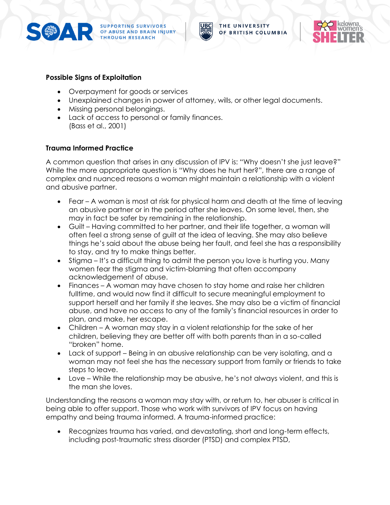

**SUPPORTING SURVIVORS<br>OF ABUSE AND BRAIN INJURY THROUGH RESEARCH** 



THE UNIVERSITY OF BRITISH COLUMBIA



### **Possible Signs of Exploitation**

- Overpayment for goods or services
- Unexplained changes in power of attorney, wills, or other legal documents.
- Missing personal belongings.
- Lack of access to personal or family finances. (Bass et al., 2001)

### **Trauma Informed Practice**

A common question that arises in any discussion of IPV is: "Why doesn't she just leave?" While the more appropriate question is "Why does he hurt her?", there are a range of complex and nuanced reasons a woman might maintain a relationship with a violent and abusive partner.

- Fear A woman is most at risk for physical harm and death at the time of leaving an abusive partner or in the period after she leaves. On some level, then, she may in fact be safer by remaining in the relationship.
- Guilt Having committed to her partner, and their life together, a woman will often feel a strong sense of guilt at the idea of leaving. She may also believe things he's said about the abuse being her fault, and feel she has a responsibility to stay, and try to make things better.
- Stigma It's a difficult thing to admit the person you love is hurting you. Many women fear the stigma and victim-blaming that often accompany acknowledgement of abuse.
- Finances A woman may have chosen to stay home and raise her children fulltime, and would now find it difficult to secure meaningful employment to support herself and her family if she leaves. She may also be a victim of financial abuse, and have no access to any of the family's financial resources in order to plan, and make, her escape.
- Children A woman may stay in a violent relationship for the sake of her children, believing they are better off with both parents than in a so-called "broken" home.
- Lack of support Being in an abusive relationship can be very isolating, and a woman may not feel she has the necessary support from family or friends to take steps to leave.
- Love While the relationship may be abusive, he's not always violent, and this is the man she loves.

Understanding the reasons a woman may stay with, or return to, her abuser is critical in being able to offer support. Those who work with survivors of IPV focus on having empathy and being trauma informed. A trauma-informed practice:

Recognizes trauma has varied, and devastating, short and long-term effects, including post-traumatic stress disorder (PTSD) and complex PTSD,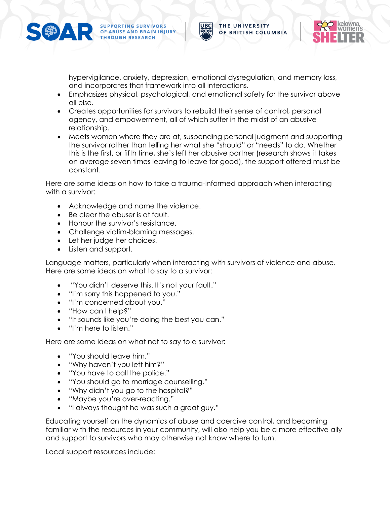

SUPPORTING SURVIVORS<br>Of ABUSE AND BRAIN INJURY **THROUGH RESEARCH** 



hypervigilance, anxiety, depression, emotional dysregulation, and memory loss, and incorporates that framework into all interactions.

- Emphasizes physical, psychological, and emotional safety for the survivor above all else.
- Creates opportunities for survivors to rebuild their sense of control, personal agency, and empowerment, all of which suffer in the midst of an abusive relationship.
- Meets women where they are at, suspending personal judgment and supporting the survivor rather than telling her what she "should" or "needs" to do. Whether this is the first, or fifth time, she's left her abusive partner (research shows it takes on average seven times leaving to leave for good), the support offered must be constant.

Here are some ideas on how to take a trauma-informed approach when interacting with a survivor:

- Acknowledge and name the violence.
- Be clear the abuser is at fault.
- Honour the survivor's resistance.
- Challenge victim-blaming messages.
- Let her judge her choices.
- Listen and support.

Language matters, particularly when interacting with survivors of violence and abuse. Here are some ideas on what to say to a survivor:

- "You didn't deserve this. It's not your fault."
- "I'm sorry this happened to you."
- "I'm concerned about you."
- "How can I help?"
- "It sounds like you're doing the best you can."
- "I'm here to listen."

Here are some ideas on what not to say to a survivor:

- "You should leave him."
- "Why haven't you left him?"
- "You have to call the police."
- "You should go to marriage counselling."
- "Why didn't you go to the hospital?"
- "Maybe you're over-reacting."
- "I always thought he was such a great guy."

Educating yourself on the dynamics of abuse and coercive control, and becoming familiar with the resources in your community, will also help you be a more effective ally and support to survivors who may otherwise not know where to turn.

Local support resources include: